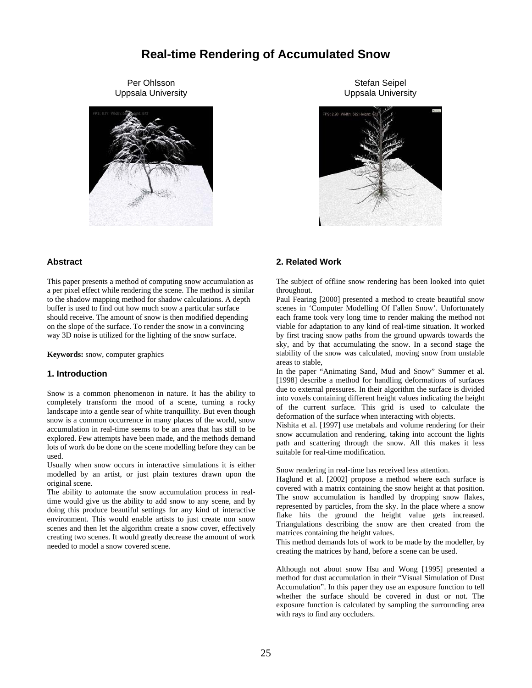# **Real-time Rendering of Accumulated Snow**

Per Ohlsson Uppsala University



Stefan Seipel Uppsala University



# **Abstract**

This paper presents a method of computing snow accumulation as a per pixel effect while rendering the scene. The method is similar to the shadow mapping method for shadow calculations. A depth buffer is used to find out how much snow a particular surface should receive. The amount of snow is then modified depending on the slope of the surface. To render the snow in a convincing way 3D noise is utilized for the lighting of the snow surface.

**Keywords:** snow, computer graphics

#### **1. Introduction**

Snow is a common phenomenon in nature. It has the ability to completely transform the mood of a scene, turning a rocky landscape into a gentle sear of white tranquillity. But even though snow is a common occurrence in many places of the world, snow accumulation in real-time seems to be an area that has still to be explored. Few attempts have been made, and the methods demand lots of work do be done on the scene modelling before they can be used.

Usually when snow occurs in interactive simulations it is either modelled by an artist, or just plain textures drawn upon the original scene.

The ability to automate the snow accumulation process in realtime would give us the ability to add snow to any scene, and by doing this produce beautiful settings for any kind of interactive environment. This would enable artists to just create non snow scenes and then let the algorithm create a snow cover, effectively creating two scenes. It would greatly decrease the amount of work needed to model a snow covered scene.

#### **2. Related Work**

The subject of offline snow rendering has been looked into quiet throughout.

Paul Fearing [2000] presented a method to create beautiful snow scenes in 'Computer Modelling Of Fallen Snow'. Unfortunately each frame took very long time to render making the method not viable for adaptation to any kind of real-time situation. It worked by first tracing snow paths from the ground upwards towards the sky, and by that accumulating the snow. In a second stage the stability of the snow was calculated, moving snow from unstable areas to stable,

In the paper "Animating Sand, Mud and Snow" Summer et al. [1998] describe a method for handling deformations of surfaces due to external pressures. In their algorithm the surface is divided into voxels containing different height values indicating the height of the current surface. This grid is used to calculate the deformation of the surface when interacting with objects.

Nishita et al. [1997] use metabals and volume rendering for their snow accumulation and rendering, taking into account the lights path and scattering through the snow. All this makes it less suitable for real-time modification.

Snow rendering in real-time has received less attention.

Haglund et al. [2002] propose a method where each surface is covered with a matrix containing the snow height at that position. The snow accumulation is handled by dropping snow flakes, represented by particles, from the sky. In the place where a snow flake hits the ground the height value gets increased. Triangulations describing the snow are then created from the matrices containing the height values.

This method demands lots of work to be made by the modeller, by creating the matrices by hand, before a scene can be used.

Although not about snow Hsu and Wong [1995] presented a method for dust accumulation in their "Visual Simulation of Dust Accumulation". In this paper they use an exposure function to tell whether the surface should be covered in dust or not. The exposure function is calculated by sampling the surrounding area with rays to find any occluders.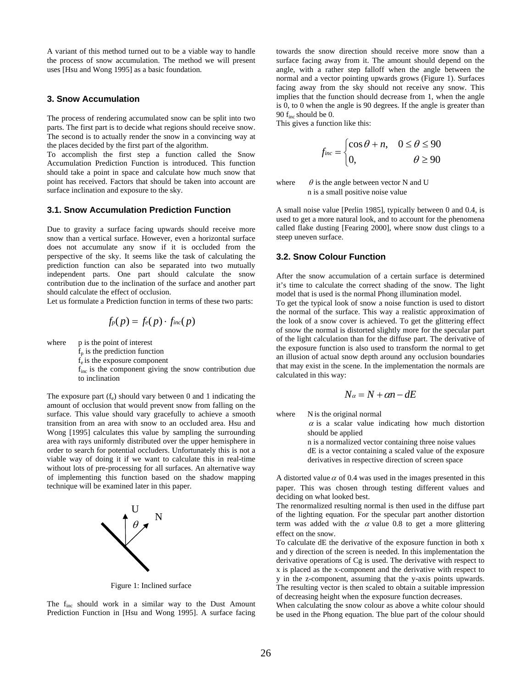A variant of this method turned out to be a viable way to handle the process of snow accumulation. The method we will present uses [Hsu and Wong 1995] as a basic foundation.

## **3. Snow Accumulation**

The process of rendering accumulated snow can be split into two parts. The first part is to decide what regions should receive snow. The second is to actually render the snow in a convincing way at the places decided by the first part of the algorithm.

To accomplish the first step a function called the Snow Accumulation Prediction Function is introduced. This function should take a point in space and calculate how much snow that point has received. Factors that should be taken into account are surface inclination and exposure to the sky.

#### **3.1. Snow Accumulation Prediction Function**

Due to gravity a surface facing upwards should receive more snow than a vertical surface. However, even a horizontal surface does not accumulate any snow if it is occluded from the perspective of the sky. It seems like the task of calculating the prediction function can also be separated into two mutually independent parts. One part should calculate the snow contribution due to the inclination of the surface and another part should calculate the effect of occlusion.

Let us formulate a Prediction function in terms of these two parts:

$$
f_p(p) = f_e(p) \cdot f_{inc}(p)
$$

where p is the point of interest

 $f_p$  is the prediction function  $f_e$  is the exposure component

finc is the component giving the snow contribution due to inclination

The exposure part  $(f_e)$  should vary between 0 and 1 indicating the amount of occlusion that would prevent snow from falling on the surface. This value should vary gracefully to achieve a smooth transition from an area with snow to an occluded area. Hsu and Wong [1995] calculates this value by sampling the surrounding area with rays uniformly distributed over the upper hemisphere in order to search for potential occluders. Unfortunately this is not a viable way of doing it if we want to calculate this in real-time without lots of pre-processing for all surfaces. An alternative way of implementing this function based on the shadow mapping technique will be examined later in this paper.



Figure 1: Inclined surface

The f<sub>inc</sub> should work in a similar way to the Dust Amount Prediction Function in [Hsu and Wong 1995]. A surface facing towards the snow direction should receive more snow than a surface facing away from it. The amount should depend on the angle, with a rather step falloff when the angle between the normal and a vector pointing upwards grows (Figure 1). Surfaces facing away from the sky should not receive any snow. This implies that the function should decrease from 1, when the angle is 0, to 0 when the angle is 90 degrees. If the angle is greater than 90  $f_{inc}$  should be 0.

This gives a function like this:

$$
f_{inc} = \begin{cases} \cos \theta + n, & 0 \le \theta \le 90 \\ 0, & \theta \ge 90 \end{cases}
$$

where  $\theta$  is the angle between vector N and U n is a small positive noise value

A small noise value [Perlin 1985], typically between 0 and 0.4, is used to get a more natural look, and to account for the phenomena called flake dusting [Fearing 2000], where snow dust clings to a steep uneven surface.

#### **3.2. Snow Colour Function**

After the snow accumulation of a certain surface is determined it's time to calculate the correct shading of the snow. The light model that is used is the normal Phong illumination model.

To get the typical look of snow a noise function is used to distort the normal of the surface. This way a realistic approximation of the look of a snow cover is achieved. To get the glittering effect of snow the normal is distorted slightly more for the specular part of the light calculation than for the diffuse part. The derivative of the exposure function is also used to transform the normal to get an illusion of actual snow depth around any occlusion boundaries that may exist in the scene. In the implementation the normals are calculated in this way:

$$
N_{\alpha}=N+\alpha n-dE
$$

where N is the original normal

 $\alpha$  is a scalar value indicating how much distortion should be applied

n is a normalized vector containing three noise values dE is a vector containing a scaled value of the exposure derivatives in respective direction of screen space

A distorted value  $\alpha$  of 0.4 was used in the images presented in this paper. This was chosen through testing different values and deciding on what looked best.

The renormalized resulting normal is then used in the diffuse part of the lighting equation. For the specular part another distortion term was added with the  $\alpha$  value 0.8 to get a more glittering effect on the snow.

To calculate dE the derivative of the exposure function in both x and y direction of the screen is needed. In this implementation the derivative operations of Cg is used. The derivative with respect to x is placed as the x-component and the derivative with respect to y in the z-component, assuming that the y-axis points upwards. The resulting vector is then scaled to obtain a suitable impression of decreasing height when the exposure function decreases.

When calculating the snow colour as above a white colour should be used in the Phong equation. The blue part of the colour should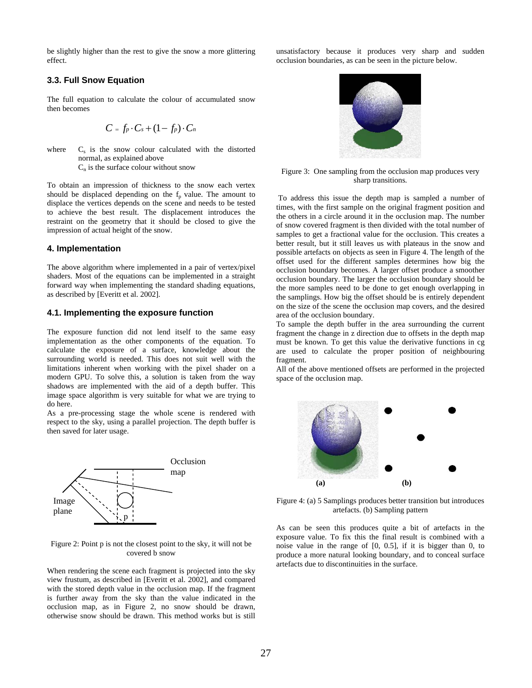be slightly higher than the rest to give the snow a more glittering effect.

# **3.3. Full Snow Equation**

The full equation to calculate the colour of accumulated snow then becomes

$$
C = f_p \cdot C_s + (1 - f_p) \cdot C_n
$$

where  $C_s$  is the snow colour calculated with the distorted normal, as explained above  $C_n$  is the surface colour without snow

To obtain an impression of thickness to the snow each vertex should be displaced depending on the  $f<sub>p</sub>$  value. The amount to displace the vertices depends on the scene and needs to be tested to achieve the best result. The displacement introduces the restraint on the geometry that it should be closed to give the impression of actual height of the snow.

#### **4. Implementation**

The above algorithm where implemented in a pair of vertex/pixel shaders. Most of the equations can be implemented in a straight forward way when implementing the standard shading equations, as described by [Everitt et al. 2002].

#### **4.1. Implementing the exposure function**

The exposure function did not lend itself to the same easy implementation as the other components of the equation. To calculate the exposure of a surface, knowledge about the surrounding world is needed. This does not suit well with the limitations inherent when working with the pixel shader on a modern GPU. To solve this, a solution is taken from the way shadows are implemented with the aid of a depth buffer. This image space algorithm is very suitable for what we are trying to do here.

As a pre-processing stage the whole scene is rendered with respect to the sky, using a parallel projection. The depth buffer is then saved for later usage.



Figure 2: Point p is not the closest point to the sky, it will not be covered b snow

When rendering the scene each fragment is projected into the sky view frustum, as described in [Everitt et al. 2002], and compared with the stored depth value in the occlusion map. If the fragment is further away from the sky than the value indicated in the occlusion map, as in Figure 2, no snow should be drawn, otherwise snow should be drawn. This method works but is still

unsatisfactory because it produces very sharp and sudden occlusion boundaries, as can be seen in the picture below.



Figure 3: One sampling from the occlusion map produces very sharp transitions.

To address this issue the depth map is sampled a number of times, with the first sample on the original fragment position and the others in a circle around it in the occlusion map. The number of snow covered fragment is then divided with the total number of samples to get a fractional value for the occlusion. This creates a better result, but it still leaves us with plateaus in the snow and possible artefacts on objects as seen in Figure 4. The length of the offset used for the different samples determines how big the occlusion boundary becomes. A larger offset produce a smoother occlusion boundary. The larger the occlusion boundary should be the more samples need to be done to get enough overlapping in the samplings. How big the offset should be is entirely dependent on the size of the scene the occlusion map covers, and the desired area of the occlusion boundary.

To sample the depth buffer in the area surrounding the current fragment the change in z direction due to offsets in the depth map must be known. To get this value the derivative functions in cg are used to calculate the proper position of neighbouring fragment.

All of the above mentioned offsets are performed in the projected space of the occlusion map.



Figure 4: (a) 5 Samplings produces better transition but introduces artefacts. (b) Sampling pattern

As can be seen this produces quite a bit of artefacts in the exposure value. To fix this the final result is combined with a noise value in the range of [0, 0.5], if it is bigger than 0, to produce a more natural looking boundary, and to conceal surface artefacts due to discontinuities in the surface.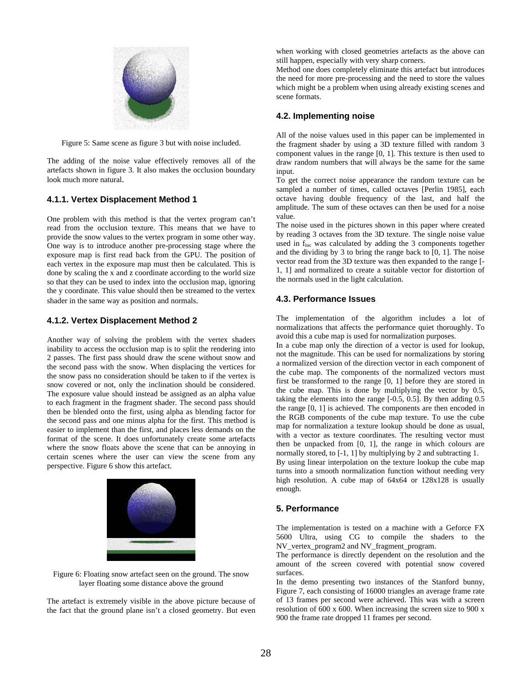

Figure 5: Same scene as figure 3 but with noise included.

The adding of the noise value effectively removes all of the artefacts shown in figure 3. It also makes the occlusion boundary look much more natural.

## **4.1.1. Vertex Displacement Method 1**

One problem with this method is that the vertex program can't read from the occlusion texture. This means that we have to provide the snow values to the vertex program in some other way. One way is to introduce another pre-processing stage where the exposure map is first read back from the GPU. The position of each vertex in the exposure map must then be calculated. This is done by scaling the x and z coordinate according to the world size so that they can be used to index into the occlusion map, ignoring the y coordinate. This value should then be streamed to the vertex shader in the same way as position and normals.

## **4.1.2. Vertex Displacement Method 2**

Another way of solving the problem with the vertex shaders inability to access the occlusion map is to split the rendering into 2 passes. The first pass should draw the scene without snow and the second pass with the snow. When displacing the vertices for the snow pass no consideration should be taken to if the vertex is snow covered or not, only the inclination should be considered. The exposure value should instead be assigned as an alpha value to each fragment in the fragment shader. The second pass should then be blended onto the first, using alpha as blending factor for the second pass and one minus alpha for the first. This method is easier to implement than the first, and places less demands on the format of the scene. It does unfortunately create some artefacts where the snow floats above the scene that can be annoying in certain scenes where the user can view the scene from any perspective. Figure 6 show this artefact.



Figure 6: Floating snow artefact seen on the ground. The snow layer floating some distance above the ground

The artefact is extremely visible in the above picture because of the fact that the ground plane isn't a closed geometry. But even

when working with closed geometries artefacts as the above can still happen, especially with very sharp corners.

Method one does completely eliminate this artefact but introduces the need for more pre-processing and the need to store the values which might be a problem when using already existing scenes and scene formats.

#### **4.2. Implementing noise**

All of the noise values used in this paper can be implemented in the fragment shader by using a 3D texture filled with random 3 component values in the range [0, 1]. This texture is then used to draw random numbers that will always be the same for the same input.

To get the correct noise appearance the random texture can be sampled a number of times, called octaves [Perlin 1985], each octave having double frequency of the last, and half the amplitude. The sum of these octaves can then be used for a noise value.

The noise used in the pictures shown in this paper where created by reading 3 octaves from the 3D texture. The single noise value used in f<sub>inc</sub> was calculated by adding the 3 components together and the dividing by 3 to bring the range back to [0, 1]. The noise vector read from the 3D texture was then expanded to the range [- 1, 1] and normalized to create a suitable vector for distortion of the normals used in the light calculation.

# **4.3. Performance Issues**

The implementation of the algorithm includes a lot of normalizations that affects the performance quiet thoroughly. To avoid this a cube map is used for normalization purposes.

In a cube map only the direction of a vector is used for lookup, not the magnitude. This can be used for normalizations by storing a normalized version of the direction vector in each component of the cube map. The components of the normalized vectors must first be transformed to the range [0, 1] before they are stored in the cube map. This is done by multiplying the vector by 0.5, taking the elements into the range [-0.5, 0.5]. By then adding 0.5 the range [0, 1] is achieved. The components are then encoded in the RGB components of the cube map texture. To use the cube map for normalization a texture lookup should be done as usual, with a vector as texture coordinates. The resulting vector must then be unpacked from [0, 1], the range in which colours are normally stored, to [-1, 1] by multiplying by 2 and subtracting 1. By using linear interpolation on the texture lookup the cube map

turns into a smooth normalization function without needing very high resolution. A cube map of 64x64 or 128x128 is usually enough.

## **5. Performance**

The implementation is tested on a machine with a Geforce FX 5600 Ultra, using CG to compile the shaders to the NV\_vertex\_program2 and NV\_fragment\_program.

The performance is directly dependent on the resolution and the amount of the screen covered with potential snow covered surfaces.

In the demo presenting two instances of the Stanford bunny, Figure 7, each consisting of 16000 triangles an average frame rate of 13 frames per second were achieved. This was with a screen resolution of 600 x 600. When increasing the screen size to 900 x 900 the frame rate dropped 11 frames per second.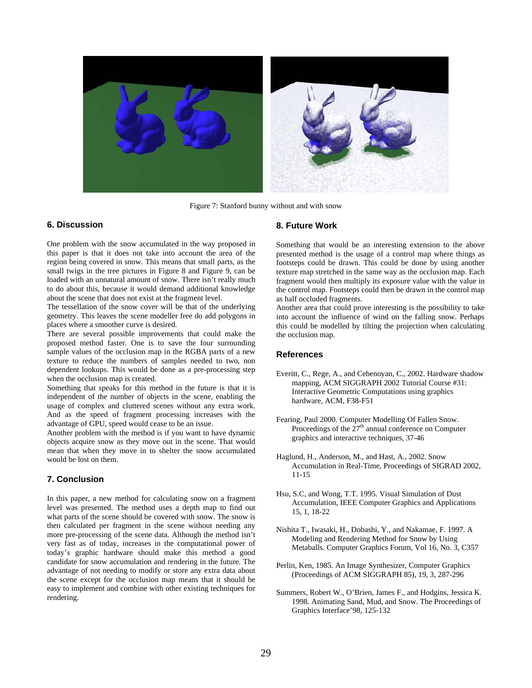

Figure 7: Stanford bunny without and with snow

# **6. Discussion**

One problem with the snow accumulated in the way proposed in this paper is that it does not take into account the area of the region being covered in snow. This means that small parts, as the small twigs in the tree pictures in Figure 8 and Figure 9, can be loaded with an unnatural amount of snow. There isn't really much to do about this, because it would demand additional knowledge about the scene that does not exist at the fragment level.

The tessellation of the snow cover will be that of the underlying geometry. This leaves the scene modeller free do add polygons in places where a smoother curve is desired.

There are several possible improvements that could make the proposed method faster. One is to save the four surrounding sample values of the occlusion map in the RGBA parts of a new texture to reduce the numbers of samples needed to two, non dependent lookups. This would be done as a pre-processing step when the occlusion map is created.

Something that speaks for this method in the future is that it is independent of the number of objects in the scene, enabling the usage of complex and cluttered scenes without any extra work. And as the speed of fragment processing increases with the advantage of GPU, speed would cease to be an issue.

Another problem with the method is if you want to have dynamic objects acquire snow as they move out in the scene. That would mean that when they move in to shelter the snow accumulated would be lost on them.

## **7. Conclusion**

In this paper, a new method for calculating snow on a fragment level was presented. The method uses a depth map to find out what parts of the scene should be covered with snow. The snow is then calculated per fragment in the scene without needing any more pre-processing of the scene data. Although the method isn't very fast as of today, increases in the computational power of today's graphic hardware should make this method a good candidate for snow accumulation and rendering in the future. The advantage of not needing to modify or store any extra data about the scene except for the occlusion map means that it should be easy to implement and combine with other existing techniques for rendering.

# **8. Future Work**

Something that would be an interesting extension to the above presented method is the usage of a control map where things as footsteps could be drawn. This could be done by using another texture map stretched in the same way as the occlusion map. Each fragment would then multiply its exposure value with the value in the control map. Footsteps could then be drawn in the control map as half occluded fragments.

Another area that could prove interesting is the possibility to take into account the influence of wind on the falling snow. Perhaps this could be modelled by tilting the projection when calculating the occlusion map.

#### **References**

- Everitt, C., Rege, A., and Cebenoyan, C., 2002. Hardware shadow mapping, ACM SIGGRAPH 2002 Tutorial Course #31: Interactive Geometric Computations using graphics hardware, ACM, F38-F51
- Fearing, Paul 2000. Computer Modelling Of Fallen Snow. Proceedings of the  $27<sup>th</sup>$  annual conference on Computer graphics and interactive techniques, 37-46
- Haglund, H., Anderson, M., and Hast, A., 2002. Snow Accumulation in Real-Time, Proceedings of SIGRAD 2002, 11-15
- Hsu, S.C, and Wong, T.T. 1995. Visual Simulation of Dust Accumulation, IEEE Computer Graphics and Applications 15, 1, 18-22
- Nishita T., Iwasaki, H., Dobashi, Y., and Nakamae, F. 1997. A Modeling and Rendering Method for Snow by Using Metaballs. Computer Graphics Forum, Vol 16, No. 3, C357
- Perlin, Ken, 1985. An Image Synthesizer, Computer Graphics (Proceedings of ACM SIGGRAPH 85), 19, 3, 287-296
- Summers, Robert W., O'Brien, James F., and Hodgins, Jessica K. 1998. Animating Sand, Mud, and Snow. The Proceedings of Graphics Interface'98, 125-132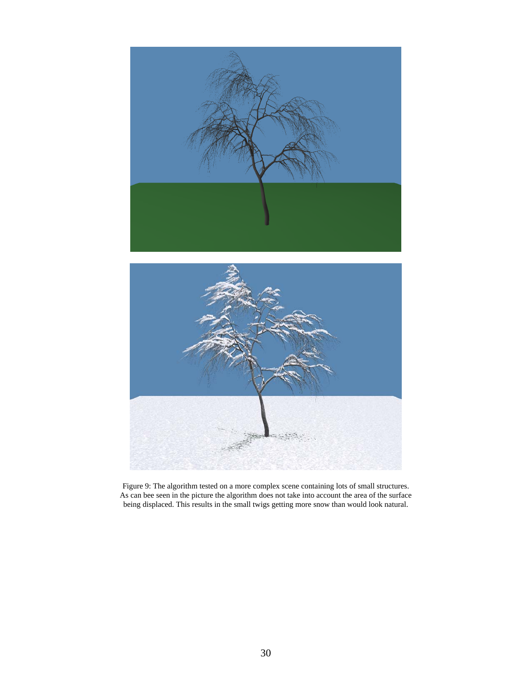



Figure 9: The algorithm tested on a more complex scene containing lots of small structures. As can bee seen in the picture the algorithm does not take into account the area of the surface being displaced. This results in the small twigs getting more snow than would look natural.